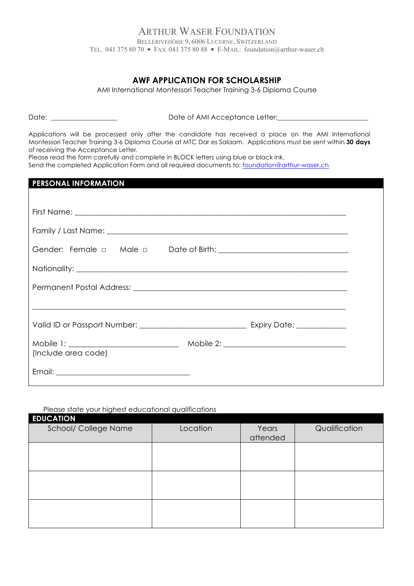#### ARTHUR WASER FOUNDATION BELLERIVEHÖHE 9, 6006 LUCERNE, SWITZERLAND TEL. 041 375 80 70 • FAX 041 375 80 88 • E-MAIL: foundation@arthur-waser.ch

### **AWF APPLICATION FOR SCHOLARSHIP**

AMI International Montessori Teacher Training 3-6 Diploma Course

Date: \_\_\_\_\_\_\_\_\_\_\_\_\_\_\_\_\_\_\_ Date of AMI Acceptance Letter:\_\_\_\_\_\_\_\_\_\_\_\_\_\_\_\_\_\_\_\_\_\_\_\_\_\_

Applications will be processed only after the candidate has received a place on the AMI International Montessori Teacher Training 3-6 Diploma Course at MTC Dar es Salaam. Applications must be sent within **30 days** of receiving the Acceptance Letter.

Please read the form carefully and complete in BLOCK letters using blue or black ink.

Send the completed Application Form and all required documents to: foundation@arthur-waser.ch

#### **PERSONAL INFORMATION**

| (Include area code) |  |  |
|---------------------|--|--|
|                     |  |  |

#### Please state your highest educational qualifications

| <b>EDUCATION</b>            |          |          |               |
|-----------------------------|----------|----------|---------------|
| <b>School/ College Name</b> | Location | Years    | Qualification |
|                             |          | attended |               |
|                             |          |          |               |
|                             |          |          |               |
|                             |          |          |               |
|                             |          |          |               |
|                             |          |          |               |
|                             |          |          |               |
|                             |          |          |               |
|                             |          |          |               |
|                             |          |          |               |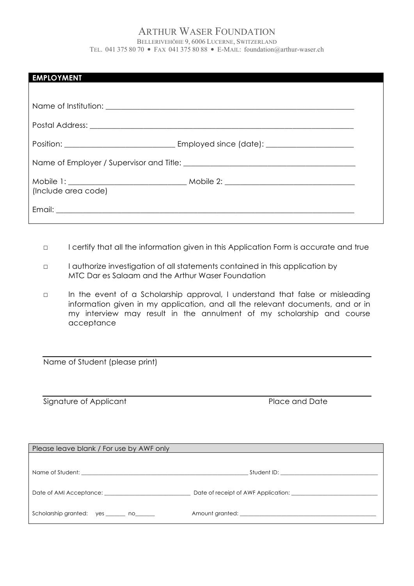### ARTHUR WASER FOUNDATION

BELLERIVEHÖHE 9, 6006 LUCERNE, SWITZERLAND TEL. 041 375 80 70 • FAX 041 375 80 88 • E-MAIL: foundation@arthur-waser.ch

| <b>EMPLOYMENT</b>   |  |  |
|---------------------|--|--|
|                     |  |  |
|                     |  |  |
|                     |  |  |
|                     |  |  |
| (Include area code) |  |  |
|                     |  |  |

- □ I certify that all the information given in this Application Form is accurate and true
- ☐ I authorize investigation of all statements contained in this application by MTC Dar es Salaam and the Arthur Waser Foundation
- □ In the event of a Scholarship approval, I understand that false or misleading information given in my application, and all the relevant documents, and or in my interview may result in the annulment of my scholarship and course acceptance

Name of Student (please print)

Signature of Applicant Place and Date

| Please leave blank / For use by AWF only        |                                     |  |
|-------------------------------------------------|-------------------------------------|--|
|                                                 |                                     |  |
|                                                 |                                     |  |
|                                                 |                                     |  |
| Date of AMI Acceptance: Date of AMI Acceptance: | Date of receipt of AWF Application: |  |
| Scholarship granted: yes ______ no              |                                     |  |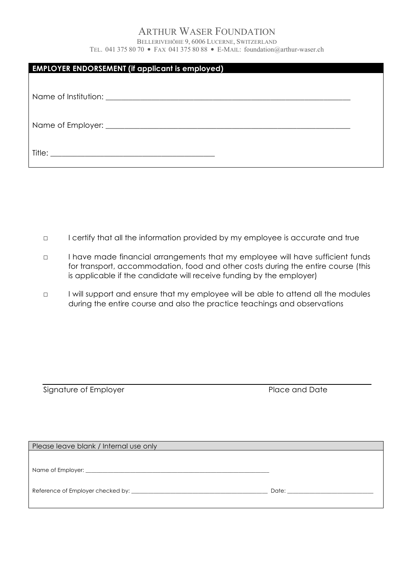## ARTHUR WASER FOUNDATION

BELLERIVEHÖHE 9, 6006 LUCERNE, SWITZERLAND TEL. 041 375 80 70 • FAX 041 375 80 88 • E-MAIL: foundation@arthur-waser.ch

| <b>EMPLOYER ENDORSEMENT (if applicant is employed)</b> |  |  |
|--------------------------------------------------------|--|--|
|                                                        |  |  |
|                                                        |  |  |
|                                                        |  |  |
|                                                        |  |  |
|                                                        |  |  |
|                                                        |  |  |
|                                                        |  |  |

☐ I certify that all the information provided by my employee is accurate and true

- □ I have made financial arrangements that my employee will have sufficient funds for transport, accommodation, food and other costs during the entire course (this is applicable if the candidate will receive funding by the employer)
- □ I will support and ensure that my employee will be able to attend all the modules during the entire course and also the practice teachings and observations

Signature of Employer **Place and Date** 

| Please leave blank / Internal use only |                                                                                                                                                                                                                                |
|----------------------------------------|--------------------------------------------------------------------------------------------------------------------------------------------------------------------------------------------------------------------------------|
|                                        |                                                                                                                                                                                                                                |
|                                        |                                                                                                                                                                                                                                |
|                                        | Date: the contract of the contract of the contract of the contract of the contract of the contract of the contract of the contract of the contract of the contract of the contract of the contract of the contract of the cont |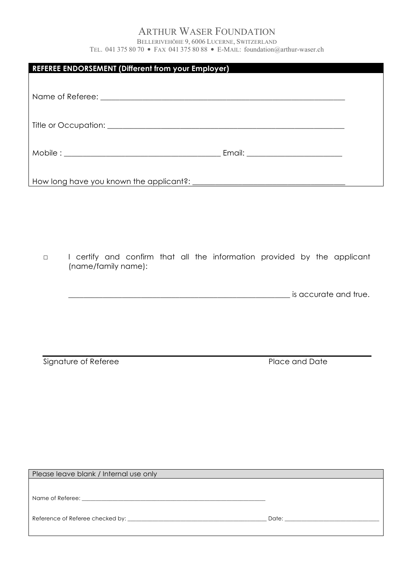# ARTHUR WASER FOUNDATION

BELLERIVEHÖHE 9, 6006 LUCERNE, SWITZERLAND TEL. 041 375 80 70 • FAX 041 375 80 88 • E-MAIL: foundation@arthur-waser.ch

| <b>REFEREE ENDORSEMENT (Different from your Employer)</b>                                                 |  |
|-----------------------------------------------------------------------------------------------------------|--|
|                                                                                                           |  |
|                                                                                                           |  |
|                                                                                                           |  |
|                                                                                                           |  |
|                                                                                                           |  |
|                                                                                                           |  |
| I certify and confirm that all the information provided by the applicant<br>$\Box$<br>(name/family name): |  |

 $\_$  is accurate and true.

Signature of Referee Place and Date

| Please leave blank / Internal use only |                                                                                                                                                                                                                                |
|----------------------------------------|--------------------------------------------------------------------------------------------------------------------------------------------------------------------------------------------------------------------------------|
|                                        |                                                                                                                                                                                                                                |
|                                        |                                                                                                                                                                                                                                |
|                                        | Date: the contract of the contract of the contract of the contract of the contract of the contract of the contract of the contract of the contract of the contract of the contract of the contract of the contract of the cont |